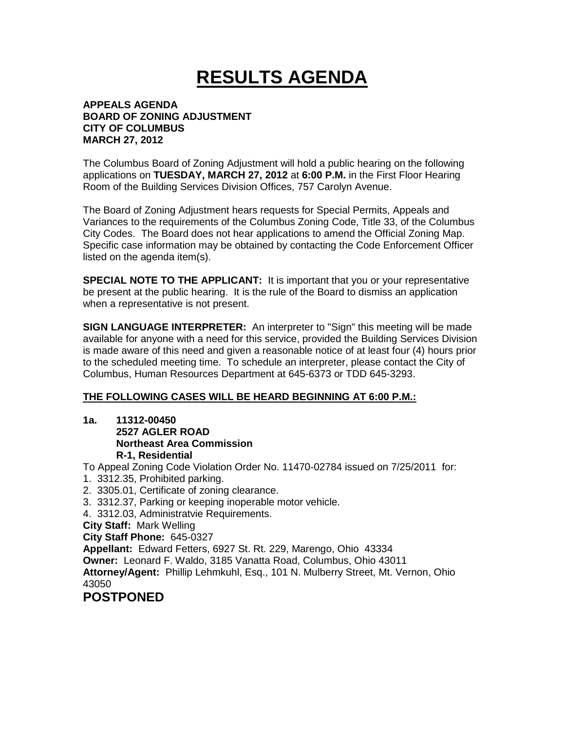# **RESULTS AGENDA**

### **APPEALS AGENDA BOARD OF ZONING ADJUSTMENT CITY OF COLUMBUS MARCH 27, 2012**

The Columbus Board of Zoning Adjustment will hold a public hearing on the following applications on **TUESDAY, MARCH 27, 2012** at **6:00 P.M.** in the First Floor Hearing Room of the Building Services Division Offices, 757 Carolyn Avenue.

The Board of Zoning Adjustment hears requests for Special Permits, Appeals and Variances to the requirements of the Columbus Zoning Code, Title 33, of the Columbus City Codes. The Board does not hear applications to amend the Official Zoning Map. Specific case information may be obtained by contacting the Code Enforcement Officer listed on the agenda item(s).

**SPECIAL NOTE TO THE APPLICANT:** It is important that you or your representative be present at the public hearing. It is the rule of the Board to dismiss an application when a representative is not present.

**SIGN LANGUAGE INTERPRETER:** An interpreter to "Sign" this meeting will be made available for anyone with a need for this service, provided the Building Services Division is made aware of this need and given a reasonable notice of at least four (4) hours prior to the scheduled meeting time. To schedule an interpreter, please contact the City of Columbus, Human Resources Department at 645-6373 or TDD 645-3293.

## **THE FOLLOWING CASES WILL BE HEARD BEGINNING AT 6:00 P.M.:**

**1a. 11312-00450 2527 AGLER ROAD Northeast Area Commission R-1, Residential** 

To Appeal Zoning Code Violation Order No. 11470-02784 issued on 7/25/2011 for:

- 1. 3312.35, Prohibited parking.
- 2. 3305.01, Certificate of zoning clearance.
- 3. 3312.37, Parking or keeping inoperable motor vehicle.
- 4. 3312.03, Administratvie Requirements.
- **City Staff:** Mark Welling

```
City Staff Phone: 645-0327
```
**Appellant:** Edward Fetters, 6927 St. Rt. 229, Marengo, Ohio 43334

**Owner:** Leonard F. Waldo, 3185 Vanatta Road, Columbus, Ohio 43011

**Attorney/Agent:** Phillip Lehmkuhl, Esq., 101 N. Mulberry Street, Mt. Vernon, Ohio 43050

## **POSTPONED**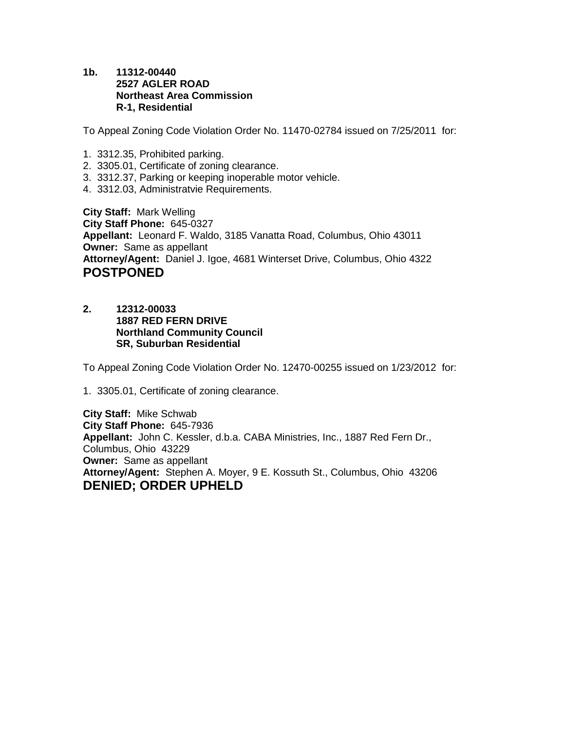**1b. 11312-00440 2527 AGLER ROAD Northeast Area Commission R-1, Residential** 

To Appeal Zoning Code Violation Order No. 11470-02784 issued on 7/25/2011 for:

- 1. 3312.35, Prohibited parking.
- 2. 3305.01, Certificate of zoning clearance.
- 3. 3312.37, Parking or keeping inoperable motor vehicle.
- 4. 3312.03, Administratvie Requirements.

**City Staff:** Mark Welling **City Staff Phone:** 645-0327 **Appellant:** Leonard F. Waldo, 3185 Vanatta Road, Columbus, Ohio 43011 **Owner:** Same as appellant **Attorney/Agent:** Daniel J. Igoe, 4681 Winterset Drive, Columbus, Ohio 4322 **POSTPONED** 

**2. 12312-00033 1887 RED FERN DRIVE Northland Community Council SR, Suburban Residential** 

To Appeal Zoning Code Violation Order No. 12470-00255 issued on 1/23/2012 for:

1. 3305.01, Certificate of zoning clearance.

**City Staff:** Mike Schwab **City Staff Phone:** 645-7936 **Appellant:** John C. Kessler, d.b.a. CABA Ministries, Inc., 1887 Red Fern Dr., Columbus, Ohio 43229 **Owner:** Same as appellant **Attorney/Agent:** Stephen A. Moyer, 9 E. Kossuth St., Columbus, Ohio 43206 **DENIED; ORDER UPHELD**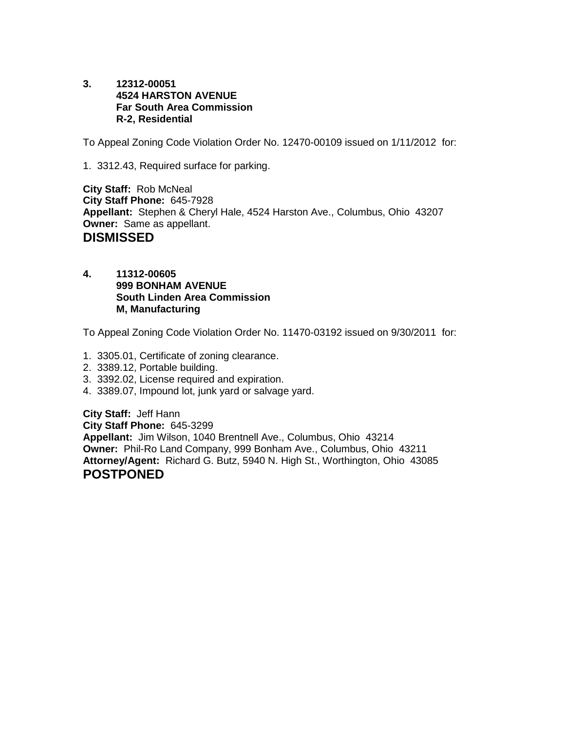**3. 12312-00051 4524 HARSTON AVENUE Far South Area Commission R-2, Residential** 

To Appeal Zoning Code Violation Order No. 12470-00109 issued on 1/11/2012 for:

1. 3312.43, Required surface for parking.

**City Staff:** Rob McNeal **City Staff Phone:** 645-7928 **Appellant:** Stephen & Cheryl Hale, 4524 Harston Ave., Columbus, Ohio 43207 **Owner:** Same as appellant. **DISMISSED** 

**4. 11312-00605 999 BONHAM AVENUE South Linden Area Commission M, Manufacturing** 

To Appeal Zoning Code Violation Order No. 11470-03192 issued on 9/30/2011 for:

- 1. 3305.01, Certificate of zoning clearance.
- 2. 3389.12, Portable building.
- 3. 3392.02, License required and expiration.
- 4. 3389.07, Impound lot, junk yard or salvage yard.

**City Staff:** Jeff Hann

**City Staff Phone:** 645-3299 **Appellant:** Jim Wilson, 1040 Brentnell Ave., Columbus, Ohio 43214 **Owner:** Phil-Ro Land Company, 999 Bonham Ave., Columbus, Ohio 43211 **Attorney/Agent:** Richard G. Butz, 5940 N. High St., Worthington, Ohio 43085 **POSTPONED**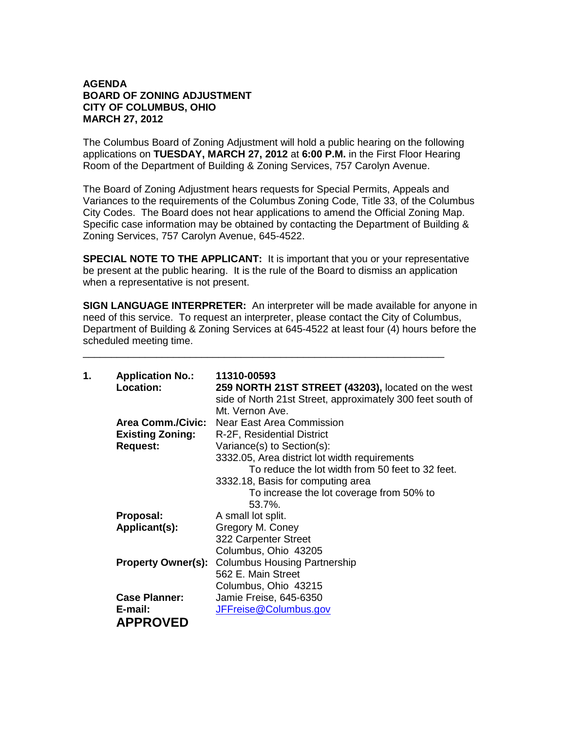### **AGENDA BOARD OF ZONING ADJUSTMENT CITY OF COLUMBUS, OHIO MARCH 27, 2012**

The Columbus Board of Zoning Adjustment will hold a public hearing on the following applications on **TUESDAY, MARCH 27, 2012** at **6:00 P.M.** in the First Floor Hearing Room of the Department of Building & Zoning Services, 757 Carolyn Avenue.

The Board of Zoning Adjustment hears requests for Special Permits, Appeals and Variances to the requirements of the Columbus Zoning Code, Title 33, of the Columbus City Codes. The Board does not hear applications to amend the Official Zoning Map. Specific case information may be obtained by contacting the Department of Building & Zoning Services, 757 Carolyn Avenue, 645-4522.

**SPECIAL NOTE TO THE APPLICANT:** It is important that you or your representative be present at the public hearing. It is the rule of the Board to dismiss an application when a representative is not present.

**SIGN LANGUAGE INTERPRETER:** An interpreter will be made available for anyone in need of this service. To request an interpreter, please contact the City of Columbus, Department of Building & Zoning Services at 645-4522 at least four (4) hours before the scheduled meeting time.

\_\_\_\_\_\_\_\_\_\_\_\_\_\_\_\_\_\_\_\_\_\_\_\_\_\_\_\_\_\_\_\_\_\_\_\_\_\_\_\_\_\_\_\_\_\_\_\_\_\_\_\_\_\_\_\_\_\_\_\_\_\_\_\_

| 1. | <b>Application No.:</b>   | 11310-00593                                                |
|----|---------------------------|------------------------------------------------------------|
|    | Location:                 | 259 NORTH 21ST STREET (43203), located on the west         |
|    |                           | side of North 21st Street, approximately 300 feet south of |
|    |                           | Mt. Vernon Ave.                                            |
|    | <b>Area Comm./Civic:</b>  | Near East Area Commission                                  |
|    | <b>Existing Zoning:</b>   | R-2F, Residential District                                 |
|    | <b>Request:</b>           | Variance(s) to Section(s):                                 |
|    |                           | 3332.05, Area district lot width requirements              |
|    |                           | To reduce the lot width from 50 feet to 32 feet.           |
|    |                           | 3332.18, Basis for computing area                          |
|    |                           | To increase the lot coverage from 50% to                   |
|    |                           | 53.7%.                                                     |
|    | Proposal:                 | A small lot split.                                         |
|    | Applicant(s):             | Gregory M. Coney                                           |
|    |                           | 322 Carpenter Street                                       |
|    |                           | Columbus, Ohio 43205                                       |
|    | <b>Property Owner(s):</b> | <b>Columbus Housing Partnership</b>                        |
|    |                           | 562 E. Main Street                                         |
|    |                           | Columbus, Ohio 43215                                       |
|    | <b>Case Planner:</b>      | Jamie Freise, 645-6350                                     |
|    | E-mail:                   | JFFreise@Columbus.gov                                      |
|    | <b>APPROVED</b>           |                                                            |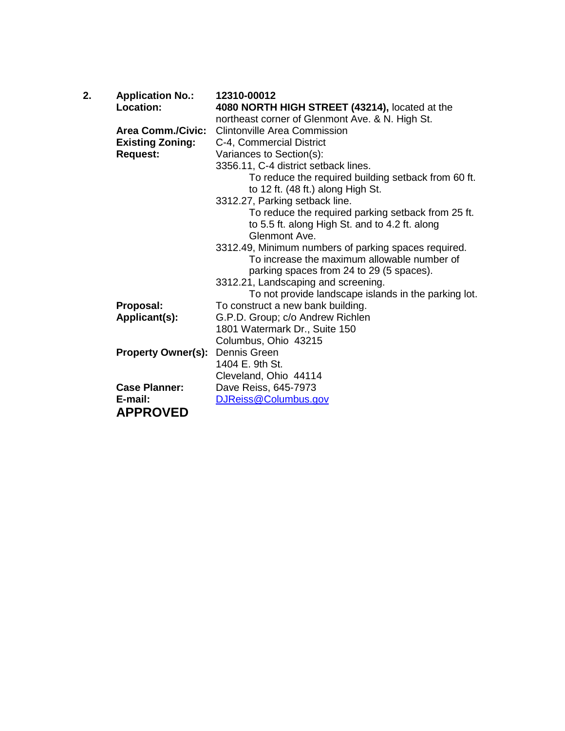| 2. | <b>Application No.:</b><br>Location: | 12310-00012<br>4080 NORTH HIGH STREET (43214), located at the |
|----|--------------------------------------|---------------------------------------------------------------|
|    |                                      | northeast corner of Glenmont Ave. & N. High St.               |
|    | <b>Area Comm./Civic:</b>             | <b>Clintonville Area Commission</b>                           |
|    | <b>Existing Zoning:</b>              | C-4, Commercial District                                      |
|    | <b>Request:</b>                      | Variances to Section(s):                                      |
|    |                                      | 3356.11, C-4 district setback lines.                          |
|    |                                      | To reduce the required building setback from 60 ft.           |
|    |                                      | to 12 ft. (48 ft.) along High St.                             |
|    |                                      | 3312.27, Parking setback line.                                |
|    |                                      | To reduce the required parking setback from 25 ft.            |
|    |                                      | to 5.5 ft. along High St. and to 4.2 ft. along                |
|    |                                      | Glenmont Ave.                                                 |
|    |                                      | 3312.49, Minimum numbers of parking spaces required.          |
|    |                                      | To increase the maximum allowable number of                   |
|    |                                      | parking spaces from 24 to 29 (5 spaces).                      |
|    |                                      | 3312.21, Landscaping and screening.                           |
|    |                                      | To not provide landscape islands in the parking lot.          |
|    | Proposal:                            | To construct a new bank building.                             |
|    | Applicant(s):                        | G.P.D. Group; c/o Andrew Richlen                              |
|    |                                      | 1801 Watermark Dr., Suite 150                                 |
|    |                                      | Columbus, Ohio 43215                                          |
|    | <b>Property Owner(s):</b>            | Dennis Green                                                  |
|    |                                      | 1404 E. 9th St.                                               |
|    |                                      | Cleveland, Ohio 44114                                         |
|    | <b>Case Planner:</b>                 | Dave Reiss, 645-7973                                          |
|    | E-mail:                              | DJReiss@Columbus.gov                                          |
|    | <b>APPROVED</b>                      |                                                               |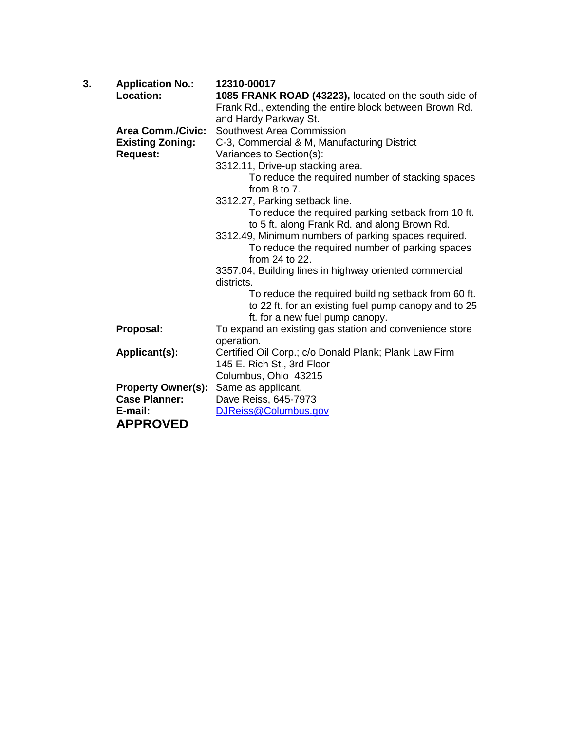| 3. | <b>Application No.:</b>   | 12310-00017                                                                                                                                    |
|----|---------------------------|------------------------------------------------------------------------------------------------------------------------------------------------|
|    | <b>Location:</b>          | 1085 FRANK ROAD (43223), located on the south side of                                                                                          |
|    |                           | Frank Rd., extending the entire block between Brown Rd.                                                                                        |
|    |                           | and Hardy Parkway St.                                                                                                                          |
|    | <b>Area Comm./Civic:</b>  | Southwest Area Commission                                                                                                                      |
|    | <b>Existing Zoning:</b>   | C-3, Commercial & M, Manufacturing District                                                                                                    |
|    | <b>Request:</b>           | Variances to Section(s):                                                                                                                       |
|    |                           | 3312.11, Drive-up stacking area.                                                                                                               |
|    |                           | To reduce the required number of stacking spaces<br>from $8$ to $7$ .                                                                          |
|    |                           | 3312.27, Parking setback line.                                                                                                                 |
|    |                           | To reduce the required parking setback from 10 ft.                                                                                             |
|    |                           | to 5 ft. along Frank Rd. and along Brown Rd.                                                                                                   |
|    |                           | 3312.49, Minimum numbers of parking spaces required.                                                                                           |
|    |                           | To reduce the required number of parking spaces<br>from 24 to 22.                                                                              |
|    |                           | 3357.04, Building lines in highway oriented commercial<br>districts.                                                                           |
|    |                           | To reduce the required building setback from 60 ft.<br>to 22 ft. for an existing fuel pump canopy and to 25<br>ft. for a new fuel pump canopy. |
|    | Proposal:                 | To expand an existing gas station and convenience store                                                                                        |
|    |                           | operation.                                                                                                                                     |
|    | Applicant(s):             | Certified Oil Corp.; c/o Donald Plank; Plank Law Firm                                                                                          |
|    |                           | 145 E. Rich St., 3rd Floor                                                                                                                     |
|    |                           | Columbus, Ohio 43215                                                                                                                           |
|    | <b>Property Owner(s):</b> | Same as applicant.                                                                                                                             |
|    | <b>Case Planner:</b>      | Dave Reiss, 645-7973                                                                                                                           |
|    | E-mail:                   | DJReiss@Columbus.gov                                                                                                                           |
|    | <b>APPROVED</b>           |                                                                                                                                                |
|    |                           |                                                                                                                                                |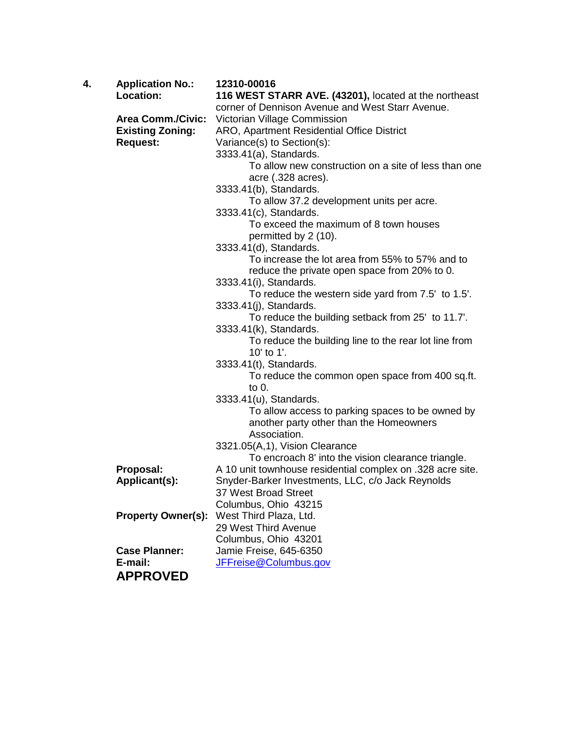| 4. | <b>Application No.:</b><br>Location: | 12310-00016<br>116 WEST STARR AVE. (43201), located at the northeast                 |
|----|--------------------------------------|--------------------------------------------------------------------------------------|
|    |                                      | corner of Dennison Avenue and West Starr Avenue.                                     |
|    | <b>Area Comm./Civic:</b>             | Victorian Village Commission                                                         |
|    | <b>Existing Zoning:</b>              | ARO, Apartment Residential Office District                                           |
|    | <b>Request:</b>                      | Variance(s) to Section(s):                                                           |
|    |                                      | 3333.41(a), Standards.                                                               |
|    |                                      | To allow new construction on a site of less than one<br>acre (.328 acres).           |
|    |                                      | 3333.41(b), Standards.                                                               |
|    |                                      | To allow 37.2 development units per acre.                                            |
|    |                                      | 3333.41(c), Standards.                                                               |
|    |                                      | To exceed the maximum of 8 town houses                                               |
|    |                                      | permitted by 2 (10).                                                                 |
|    |                                      | 3333.41(d), Standards.                                                               |
|    |                                      | To increase the lot area from 55% to 57% and to                                      |
|    |                                      | reduce the private open space from 20% to 0.                                         |
|    |                                      | 3333.41(i), Standards.                                                               |
|    |                                      | To reduce the western side yard from 7.5' to 1.5'.<br>3333.41(j), Standards.         |
|    |                                      | To reduce the building setback from 25' to 11.7'.                                    |
|    |                                      | 3333.41(k), Standards.                                                               |
|    |                                      | To reduce the building line to the rear lot line from                                |
|    |                                      | 10' to 1'.                                                                           |
|    |                                      | 3333.41(t), Standards.                                                               |
|    |                                      | To reduce the common open space from 400 sq.ft.                                      |
|    |                                      | to 0.                                                                                |
|    |                                      | 3333.41(u), Standards.                                                               |
|    |                                      | To allow access to parking spaces to be owned by                                     |
|    |                                      | another party other than the Homeowners                                              |
|    |                                      | Association.                                                                         |
|    |                                      | 3321.05(A,1), Vision Clearance<br>To encroach 8' into the vision clearance triangle. |
|    | Proposal:                            | A 10 unit townhouse residential complex on .328 acre site.                           |
|    | Applicant(s):                        | Snyder-Barker Investments, LLC, c/o Jack Reynolds                                    |
|    |                                      | 37 West Broad Street                                                                 |
|    |                                      | Columbus, Ohio 43215                                                                 |
|    | <b>Property Owner(s):</b>            | West Third Plaza, Ltd.                                                               |
|    |                                      | 29 West Third Avenue                                                                 |
|    |                                      | Columbus, Ohio 43201                                                                 |
|    | <b>Case Planner:</b>                 | Jamie Freise, 645-6350                                                               |
|    | E-mail:                              | JFFreise@Columbus.gov                                                                |
|    | <b>APPROVED</b>                      |                                                                                      |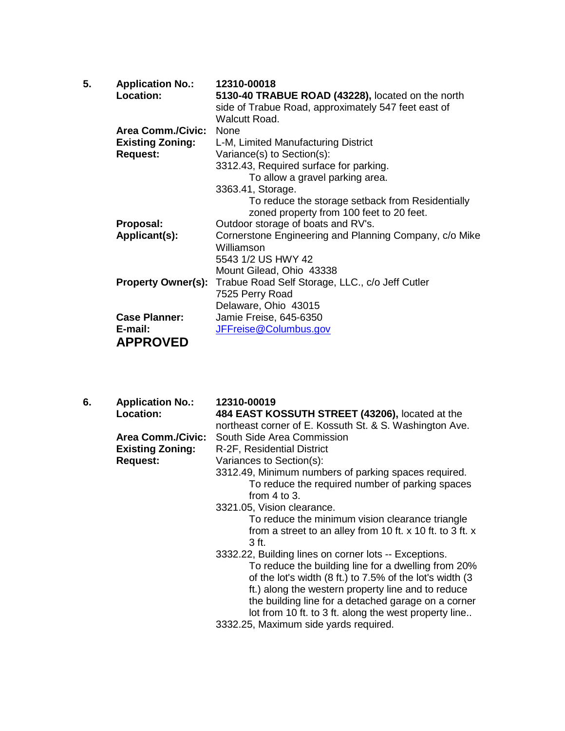| <b>Application No.:</b>  | 12310-00018                                                                                                                                      |
|--------------------------|--------------------------------------------------------------------------------------------------------------------------------------------------|
| Location:                | 5130-40 TRABUE ROAD (43228), located on the north                                                                                                |
|                          | side of Trabue Road, approximately 547 feet east of                                                                                              |
|                          | Walcutt Road.                                                                                                                                    |
| <b>Area Comm./Civic:</b> | None                                                                                                                                             |
|                          | L-M, Limited Manufacturing District                                                                                                              |
|                          | Variance(s) to Section(s):                                                                                                                       |
|                          | 3312.43, Required surface for parking.                                                                                                           |
|                          | To allow a gravel parking area.                                                                                                                  |
|                          | 3363.41, Storage.                                                                                                                                |
|                          | To reduce the storage setback from Residentially                                                                                                 |
|                          | zoned property from 100 feet to 20 feet.                                                                                                         |
|                          | Outdoor storage of boats and RV's.                                                                                                               |
|                          | Cornerstone Engineering and Planning Company, c/o Mike                                                                                           |
|                          | Williamson                                                                                                                                       |
|                          | 5543 1/2 US HWY 42                                                                                                                               |
|                          |                                                                                                                                                  |
|                          | Mount Gilead, Ohio 43338                                                                                                                         |
|                          | Trabue Road Self Storage, LLC., c/o Jeff Cutler                                                                                                  |
|                          | 7525 Perry Road                                                                                                                                  |
|                          | Delaware, Ohio 43015                                                                                                                             |
|                          | Jamie Freise, 645-6350                                                                                                                           |
| E-mail:                  | JFFreise@Columbus.gov                                                                                                                            |
|                          |                                                                                                                                                  |
|                          | <b>Existing Zoning:</b><br><b>Request:</b><br>Proposal:<br>Applicant(s):<br><b>Property Owner(s):</b><br><b>Case Planner:</b><br><b>APPROVED</b> |

| 6. | <b>Application No.:</b>  | 12310-00019                                               |
|----|--------------------------|-----------------------------------------------------------|
|    | Location:                | 484 EAST KOSSUTH STREET (43206), located at the           |
|    |                          | northeast corner of E. Kossuth St. & S. Washington Ave.   |
|    | <b>Area Comm./Civic:</b> | South Side Area Commission                                |
|    | <b>Existing Zoning:</b>  | R-2F, Residential District                                |
|    | <b>Request:</b>          | Variances to Section(s):                                  |
|    |                          | 3312.49, Minimum numbers of parking spaces required.      |
|    |                          | To reduce the required number of parking spaces           |
|    |                          | from $4$ to $3$ .                                         |
|    |                          | 3321.05, Vision clearance.                                |
|    |                          | To reduce the minimum vision clearance triangle           |
|    |                          | from a street to an alley from 10 ft. x 10 ft. to 3 ft. x |
|    |                          | 3 ft.                                                     |
|    |                          | 3332.22, Building lines on corner lots -- Exceptions.     |
|    |                          | To reduce the building line for a dwelling from 20%       |
|    |                          | of the lot's width (8 ft.) to 7.5% of the lot's width (3  |
|    |                          | ft.) along the western property line and to reduce        |
|    |                          | the building line for a detached garage on a corner       |
|    |                          | lot from 10 ft. to 3 ft. along the west property line     |
|    |                          | 3332.25, Maximum side yards required.                     |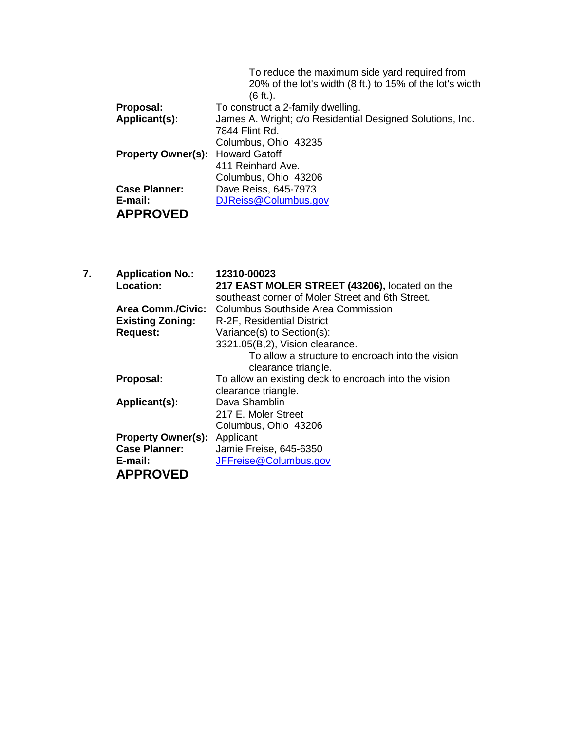|                           | To reduce the maximum side yard required from             |
|---------------------------|-----------------------------------------------------------|
|                           | 20% of the lot's width (8 ft.) to 15% of the lot's width  |
|                           | $(6 \text{ ft.})$ .                                       |
| Proposal:                 | To construct a 2-family dwelling.                         |
| Applicant(s):             | James A. Wright; c/o Residential Designed Solutions, Inc. |
|                           | 7844 Flint Rd.                                            |
|                           | Columbus, Ohio 43235                                      |
| <b>Property Owner(s):</b> | <b>Howard Gatoff</b>                                      |
|                           | 411 Reinhard Ave.                                         |
|                           | Columbus, Ohio 43206                                      |
| <b>Case Planner:</b>      | Dave Reiss, 645-7973                                      |
| E-mail:                   | DJReiss@Columbus.gov                                      |
| <b>APPROVED</b>           |                                                           |
|                           |                                                           |

| 7. | <b>Application No.:</b>   | 12310-00023                                           |
|----|---------------------------|-------------------------------------------------------|
|    | Location:                 | 217 EAST MOLER STREET (43206), located on the         |
|    |                           | southeast corner of Moler Street and 6th Street.      |
|    | <b>Area Comm./Civic:</b>  | Columbus Southside Area Commission                    |
|    | <b>Existing Zoning:</b>   | R-2F, Residential District                            |
|    | <b>Request:</b>           | Variance(s) to Section(s):                            |
|    |                           | 3321.05(B,2), Vision clearance.                       |
|    |                           | To allow a structure to encroach into the vision      |
|    |                           | clearance triangle.                                   |
|    | Proposal:                 | To allow an existing deck to encroach into the vision |
|    |                           | clearance triangle.                                   |
|    | Applicant(s):             | Dava Shamblin                                         |
|    |                           | 217 E. Moler Street                                   |
|    |                           | Columbus, Ohio 43206                                  |
|    | <b>Property Owner(s):</b> | Applicant                                             |
|    | <b>Case Planner:</b>      | Jamie Freise, 645-6350                                |
|    | E-mail:                   | JFFreise@Columbus.gov                                 |
|    | <b>APPROVED</b>           |                                                       |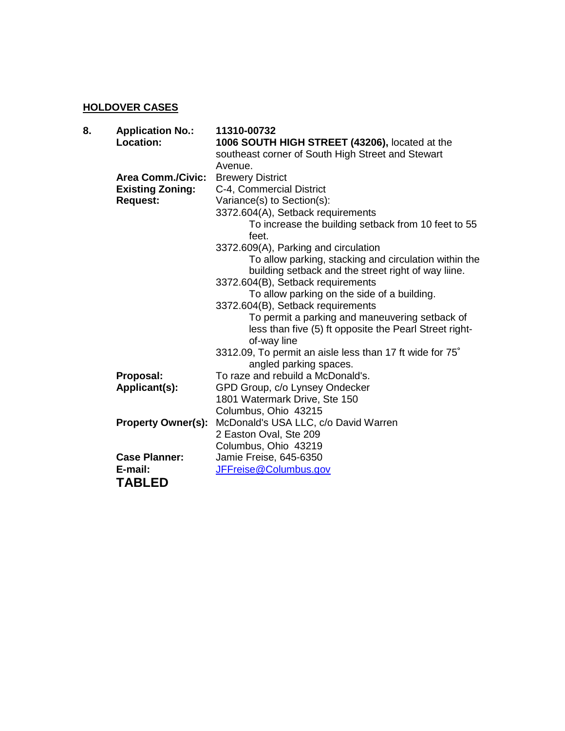## **HOLDOVER CASES**

|                           | 11310-00732                                                                                                             |
|---------------------------|-------------------------------------------------------------------------------------------------------------------------|
| Location:                 | 1006 SOUTH HIGH STREET (43206), located at the                                                                          |
|                           | southeast corner of South High Street and Stewart                                                                       |
|                           | Avenue.                                                                                                                 |
| <b>Area Comm./Civic:</b>  | <b>Brewery District</b>                                                                                                 |
|                           | C-4, Commercial District                                                                                                |
| <b>Request:</b>           | Variance(s) to Section(s):                                                                                              |
|                           | 3372.604(A), Setback requirements                                                                                       |
|                           | To increase the building setback from 10 feet to 55<br>feet.                                                            |
|                           | 3372.609(A), Parking and circulation                                                                                    |
|                           | To allow parking, stacking and circulation within the                                                                   |
|                           | building setback and the street right of way liine.                                                                     |
|                           | 3372.604(B), Setback requirements                                                                                       |
|                           | To allow parking on the side of a building.                                                                             |
|                           | 3372.604(B), Setback requirements                                                                                       |
|                           | To permit a parking and maneuvering setback of<br>less than five (5) ft opposite the Pearl Street right-<br>of-way line |
|                           |                                                                                                                         |
|                           | 3312.09, To permit an aisle less than 17 ft wide for 75°<br>angled parking spaces.                                      |
|                           | To raze and rebuild a McDonald's.                                                                                       |
| Applicant(s):             | GPD Group, c/o Lynsey Ondecker                                                                                          |
|                           | 1801 Watermark Drive, Ste 150                                                                                           |
|                           | Columbus, Ohio 43215                                                                                                    |
| <b>Property Owner(s):</b> | McDonald's USA LLC, c/o David Warren                                                                                    |
|                           | 2 Easton Oval, Ste 209                                                                                                  |
|                           | Columbus, Ohio 43219                                                                                                    |
|                           | Jamie Freise, 645-6350                                                                                                  |
| E-mail:                   | JFFreise@Columbus.gov                                                                                                   |
| <b>TABLED</b>             |                                                                                                                         |
|                           | <b>Application No.:</b><br><b>Existing Zoning:</b><br>Proposal:<br><b>Case Planner:</b>                                 |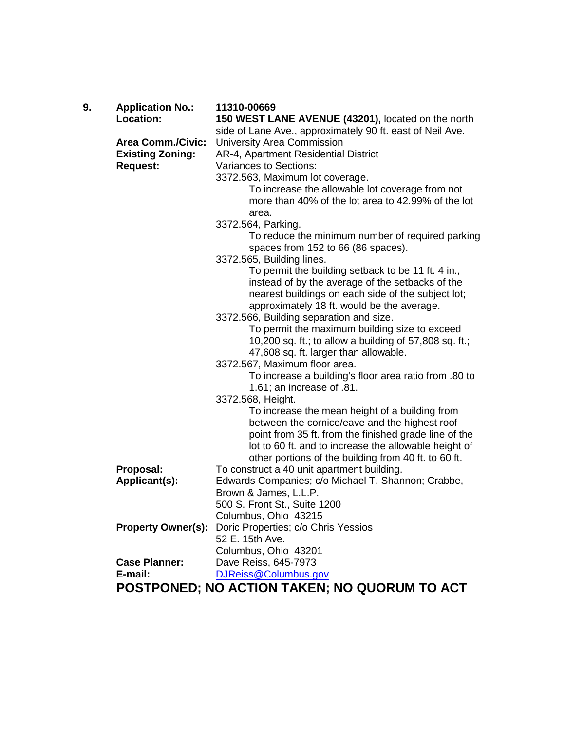| 9. | <b>Application No.:</b>   | 11310-00669                                               |
|----|---------------------------|-----------------------------------------------------------|
|    | Location:                 | 150 WEST LANE AVENUE (43201), located on the north        |
|    |                           | side of Lane Ave., approximately 90 ft. east of Neil Ave. |
|    | <b>Area Comm./Civic:</b>  | University Area Commission                                |
|    | <b>Existing Zoning:</b>   | AR-4, Apartment Residential District                      |
|    | <b>Request:</b>           | Variances to Sections:                                    |
|    |                           | 3372.563, Maximum lot coverage.                           |
|    |                           | To increase the allowable lot coverage from not           |
|    |                           | more than 40% of the lot area to 42.99% of the lot        |
|    |                           | area.                                                     |
|    |                           | 3372.564, Parking.                                        |
|    |                           | To reduce the minimum number of required parking          |
|    |                           | spaces from 152 to 66 (86 spaces).                        |
|    |                           | 3372.565, Building lines.                                 |
|    |                           | To permit the building setback to be 11 ft. 4 in.,        |
|    |                           | instead of by the average of the setbacks of the          |
|    |                           | nearest buildings on each side of the subject lot;        |
|    |                           | approximately 18 ft. would be the average.                |
|    |                           | 3372.566, Building separation and size.                   |
|    |                           | To permit the maximum building size to exceed             |
|    |                           | 10,200 sq. ft.; to allow a building of 57,808 sq. ft.;    |
|    |                           | 47,608 sq. ft. larger than allowable.                     |
|    |                           | 3372.567, Maximum floor area.                             |
|    |                           | To increase a building's floor area ratio from .80 to     |
|    |                           | 1.61; an increase of .81.                                 |
|    |                           | 3372.568, Height.                                         |
|    |                           | To increase the mean height of a building from            |
|    |                           | between the cornice/eave and the highest roof             |
|    |                           | point from 35 ft. from the finished grade line of the     |
|    |                           | lot to 60 ft. and to increase the allowable height of     |
|    |                           | other portions of the building from 40 ft. to 60 ft.      |
|    | Proposal:                 | To construct a 40 unit apartment building.                |
|    | Applicant(s):             | Edwards Companies; c/o Michael T. Shannon; Crabbe,        |
|    |                           | Brown & James, L.L.P.                                     |
|    |                           | 500 S. Front St., Suite 1200                              |
|    |                           | Columbus, Ohio 43215                                      |
|    | <b>Property Owner(s):</b> | Doric Properties; c/o Chris Yessios                       |
|    |                           | 52 E. 15th Ave.                                           |
|    |                           | Columbus, Ohio 43201                                      |
|    | <b>Case Planner:</b>      | Dave Reiss, 645-7973                                      |
|    | E-mail:                   | DJReiss@Columbus.gov                                      |

**POSTPONED; NO ACTION TAKEN; NO QUORUM TO ACT**